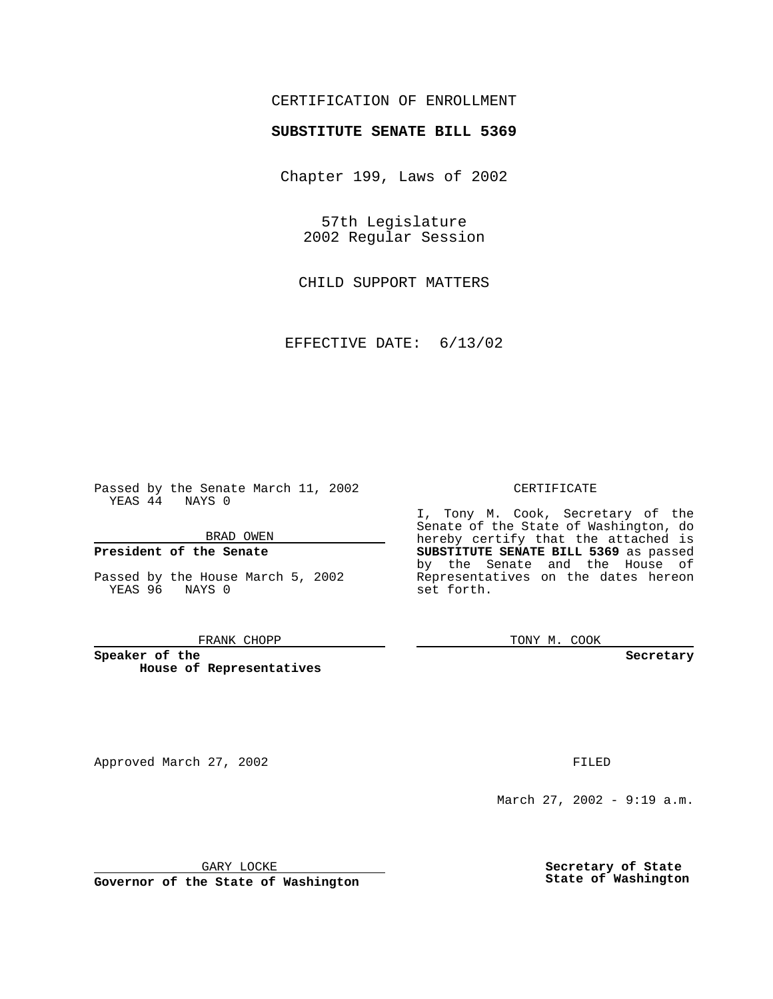# CERTIFICATION OF ENROLLMENT

# **SUBSTITUTE SENATE BILL 5369**

Chapter 199, Laws of 2002

57th Legislature 2002 Regular Session

CHILD SUPPORT MATTERS

EFFECTIVE DATE: 6/13/02

Passed by the Senate March 11, 2002 YEAS 44 NAYS 0

### BRAD OWEN

### **President of the Senate**

Passed by the House March 5, 2002 YEAS 96 NAYS 0

#### FRANK CHOPP

**Speaker of the House of Representatives**

Approved March 27, 2002 **FILED** 

#### CERTIFICATE

I, Tony M. Cook, Secretary of the Senate of the State of Washington, do hereby certify that the attached is **SUBSTITUTE SENATE BILL 5369** as passed by the Senate and the House of Representatives on the dates hereon set forth.

TONY M. COOK

**Secretary**

March 27, 2002 - 9:19 a.m.

GARY LOCKE

**Governor of the State of Washington**

**Secretary of State State of Washington**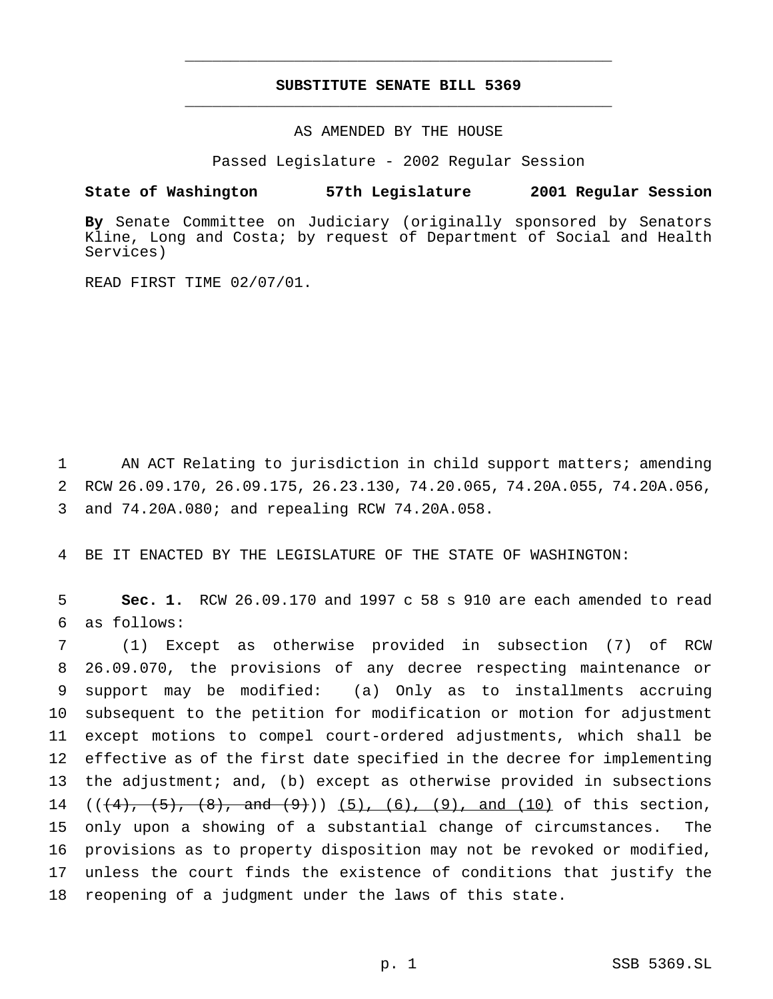# **SUBSTITUTE SENATE BILL 5369** \_\_\_\_\_\_\_\_\_\_\_\_\_\_\_\_\_\_\_\_\_\_\_\_\_\_\_\_\_\_\_\_\_\_\_\_\_\_\_\_\_\_\_\_\_\_\_

\_\_\_\_\_\_\_\_\_\_\_\_\_\_\_\_\_\_\_\_\_\_\_\_\_\_\_\_\_\_\_\_\_\_\_\_\_\_\_\_\_\_\_\_\_\_\_

AS AMENDED BY THE HOUSE

Passed Legislature - 2002 Regular Session

### **State of Washington 57th Legislature 2001 Regular Session**

**By** Senate Committee on Judiciary (originally sponsored by Senators Kline, Long and Costa; by request of Department of Social and Health Services)

READ FIRST TIME 02/07/01.

1 AN ACT Relating to jurisdiction in child support matters; amending 2 RCW 26.09.170, 26.09.175, 26.23.130, 74.20.065, 74.20A.055, 74.20A.056, 3 and 74.20A.080; and repealing RCW 74.20A.058.

4 BE IT ENACTED BY THE LEGISLATURE OF THE STATE OF WASHINGTON:

5 **Sec. 1.** RCW 26.09.170 and 1997 c 58 s 910 are each amended to read 6 as follows:

 (1) Except as otherwise provided in subsection (7) of RCW 26.09.070, the provisions of any decree respecting maintenance or support may be modified: (a) Only as to installments accruing subsequent to the petition for modification or motion for adjustment except motions to compel court-ordered adjustments, which shall be effective as of the first date specified in the decree for implementing the adjustment; and, (b) except as otherwise provided in subsections 14 ( $(\frac{4}{1}, \frac{5}{1}, \frac{8}{1}, \text{ and } \frac{9}{1})$ ) (5), (6), (9), and (10) of this section, only upon a showing of a substantial change of circumstances. The provisions as to property disposition may not be revoked or modified, unless the court finds the existence of conditions that justify the reopening of a judgment under the laws of this state.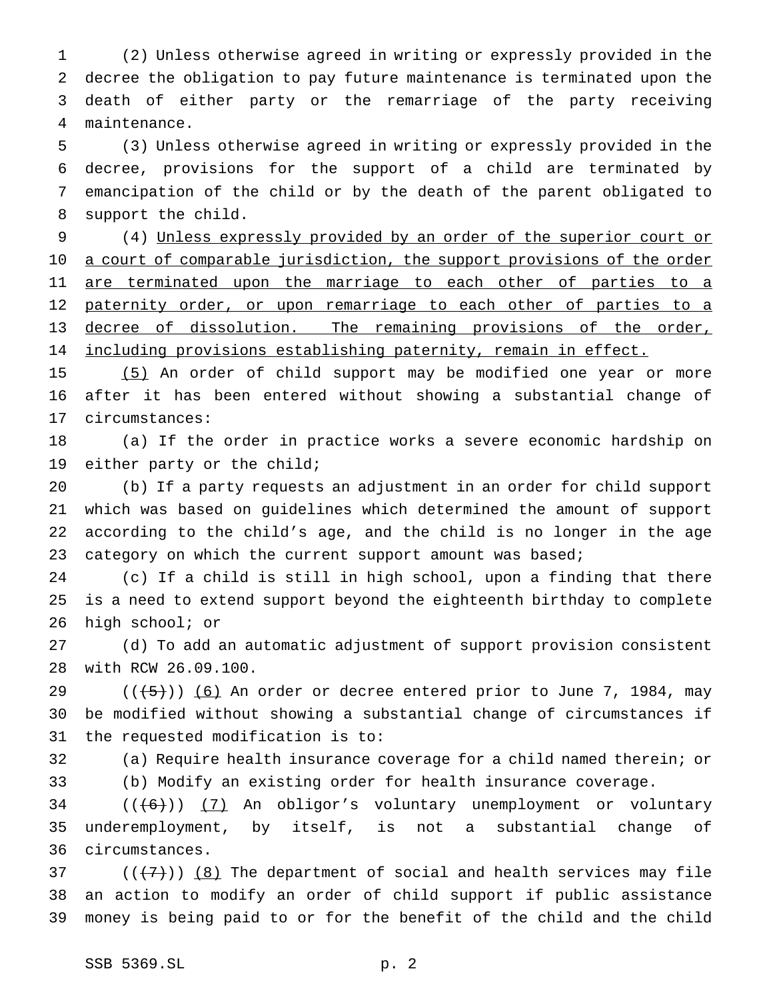(2) Unless otherwise agreed in writing or expressly provided in the decree the obligation to pay future maintenance is terminated upon the death of either party or the remarriage of the party receiving maintenance.

 (3) Unless otherwise agreed in writing or expressly provided in the decree, provisions for the support of a child are terminated by emancipation of the child or by the death of the parent obligated to support the child.

 (4) Unless expressly provided by an order of the superior court or 10 a court of comparable jurisdiction, the support provisions of the order 11 are terminated upon the marriage to each other of parties to a 12 paternity order, or upon remarriage to each other of parties to a decree of dissolution. The remaining provisions of the order, 14 including provisions establishing paternity, remain in effect.

 (5) An order of child support may be modified one year or more after it has been entered without showing a substantial change of circumstances:

 (a) If the order in practice works a severe economic hardship on either party or the child;

 (b) If a party requests an adjustment in an order for child support which was based on guidelines which determined the amount of support according to the child's age, and the child is no longer in the age 23 category on which the current support amount was based;

 (c) If a child is still in high school, upon a finding that there is a need to extend support beyond the eighteenth birthday to complete high school; or

 (d) To add an automatic adjustment of support provision consistent with RCW 26.09.100.

29 ( $(\overline{5})$ ) (6) An order or decree entered prior to June 7, 1984, may be modified without showing a substantial change of circumstances if the requested modification is to:

 (a) Require health insurance coverage for a child named therein; or (b) Modify an existing order for health insurance coverage.

 (( $(6)$ ))  $(7)$  An obligor's voluntary unemployment or voluntary underemployment, by itself, is not a substantial change of circumstances.

37  $((+7))$   $(8)$  The department of social and health services may file an action to modify an order of child support if public assistance money is being paid to or for the benefit of the child and the child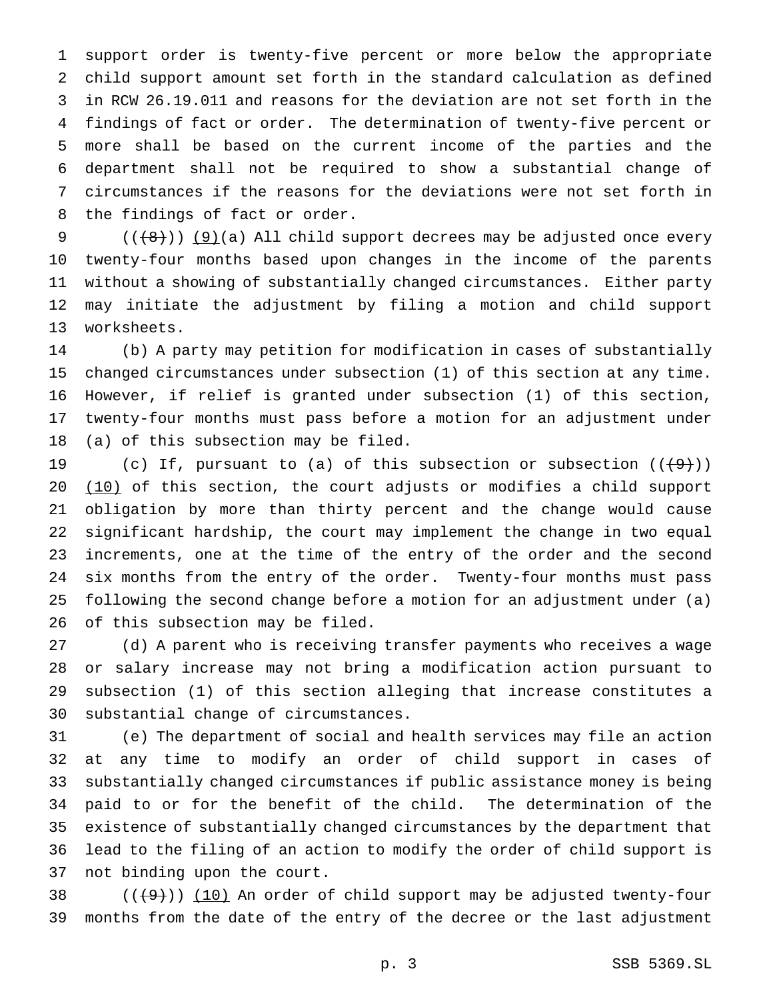support order is twenty-five percent or more below the appropriate child support amount set forth in the standard calculation as defined in RCW 26.19.011 and reasons for the deviation are not set forth in the findings of fact or order. The determination of twenty-five percent or more shall be based on the current income of the parties and the department shall not be required to show a substantial change of circumstances if the reasons for the deviations were not set forth in the findings of fact or order.

 $((+8))$  (9)(a) All child support decrees may be adjusted once every twenty-four months based upon changes in the income of the parents without a showing of substantially changed circumstances. Either party may initiate the adjustment by filing a motion and child support worksheets.

 (b) A party may petition for modification in cases of substantially changed circumstances under subsection (1) of this section at any time. However, if relief is granted under subsection (1) of this section, twenty-four months must pass before a motion for an adjustment under (a) of this subsection may be filed.

19 (c) If, pursuant to (a) of this subsection or subsection  $((+9))$ 20 (10) of this section, the court adjusts or modifies a child support obligation by more than thirty percent and the change would cause significant hardship, the court may implement the change in two equal increments, one at the time of the entry of the order and the second six months from the entry of the order. Twenty-four months must pass following the second change before a motion for an adjustment under (a) of this subsection may be filed.

 (d) A parent who is receiving transfer payments who receives a wage or salary increase may not bring a modification action pursuant to subsection (1) of this section alleging that increase constitutes a substantial change of circumstances.

 (e) The department of social and health services may file an action at any time to modify an order of child support in cases of substantially changed circumstances if public assistance money is being paid to or for the benefit of the child. The determination of the existence of substantially changed circumstances by the department that lead to the filing of an action to modify the order of child support is not binding upon the court.

38  $((+9))$   $(10)$  An order of child support may be adjusted twenty-four months from the date of the entry of the decree or the last adjustment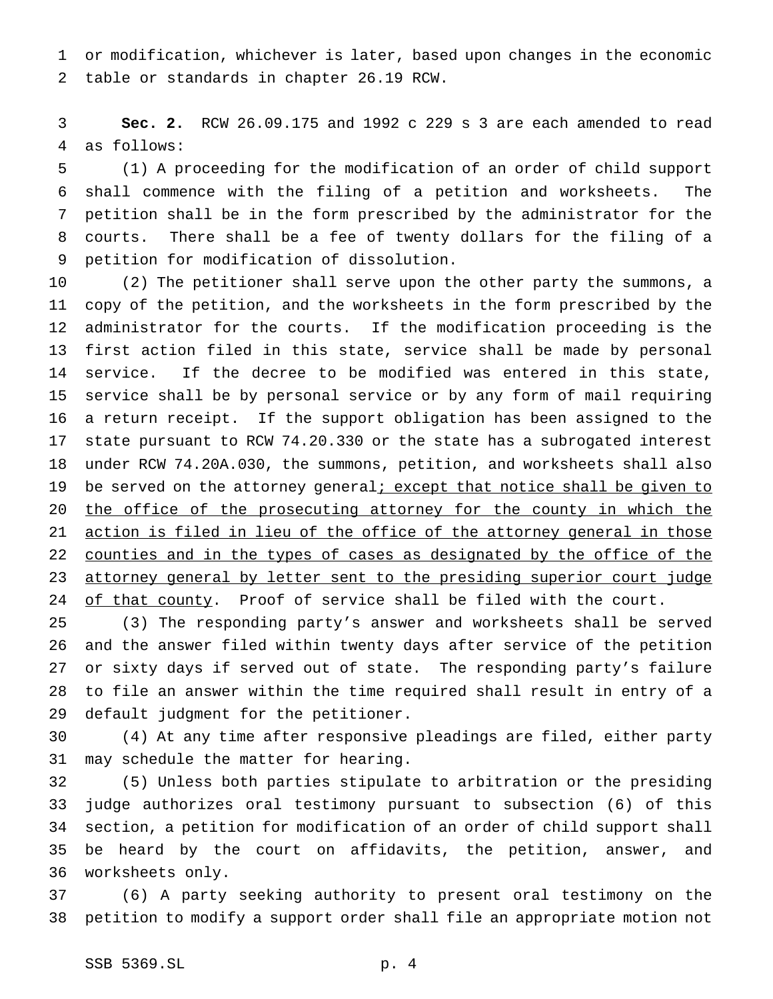or modification, whichever is later, based upon changes in the economic table or standards in chapter 26.19 RCW.

 **Sec. 2.** RCW 26.09.175 and 1992 c 229 s 3 are each amended to read as follows:

 (1) A proceeding for the modification of an order of child support shall commence with the filing of a petition and worksheets. The petition shall be in the form prescribed by the administrator for the courts. There shall be a fee of twenty dollars for the filing of a petition for modification of dissolution.

 (2) The petitioner shall serve upon the other party the summons, a copy of the petition, and the worksheets in the form prescribed by the administrator for the courts. If the modification proceeding is the first action filed in this state, service shall be made by personal service. If the decree to be modified was entered in this state, service shall be by personal service or by any form of mail requiring a return receipt. If the support obligation has been assigned to the state pursuant to RCW 74.20.330 or the state has a subrogated interest under RCW 74.20A.030, the summons, petition, and worksheets shall also 19 be served on the attorney general; except that notice shall be given to 20 the office of the prosecuting attorney for the county in which the 21 action is filed in lieu of the office of the attorney general in those 22 counties and in the types of cases as designated by the office of the 23 attorney general by letter sent to the presiding superior court judge 24 of that county. Proof of service shall be filed with the court.

 (3) The responding party's answer and worksheets shall be served and the answer filed within twenty days after service of the petition or sixty days if served out of state. The responding party's failure to file an answer within the time required shall result in entry of a default judgment for the petitioner.

 (4) At any time after responsive pleadings are filed, either party may schedule the matter for hearing.

 (5) Unless both parties stipulate to arbitration or the presiding judge authorizes oral testimony pursuant to subsection (6) of this section, a petition for modification of an order of child support shall be heard by the court on affidavits, the petition, answer, and worksheets only.

 (6) A party seeking authority to present oral testimony on the petition to modify a support order shall file an appropriate motion not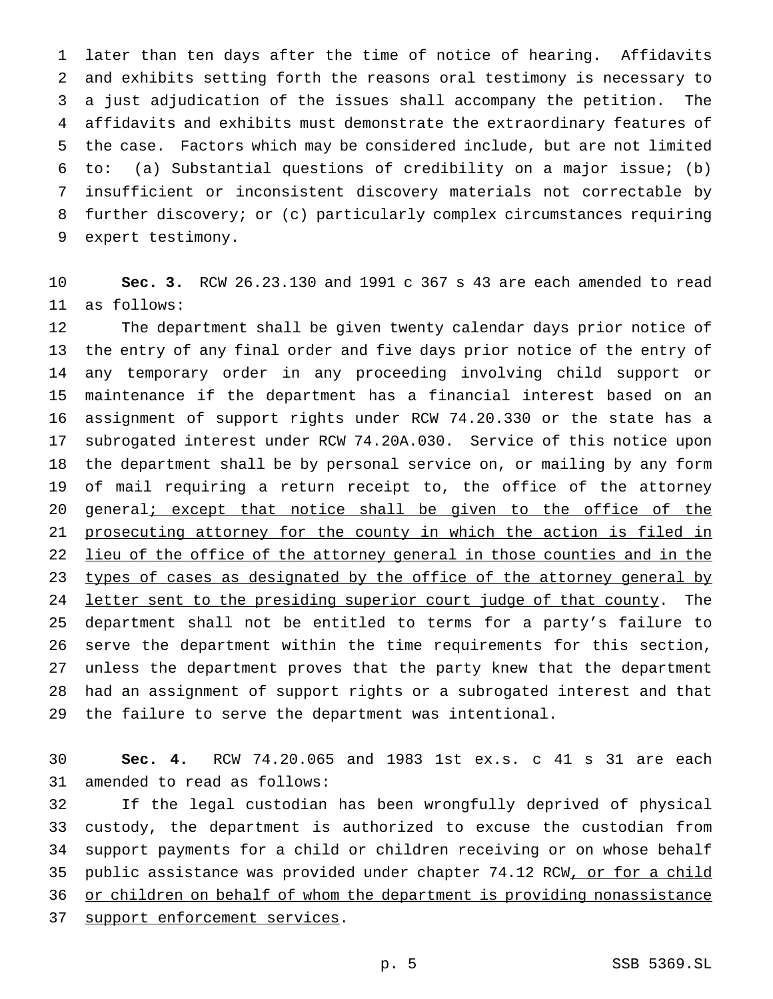later than ten days after the time of notice of hearing. Affidavits and exhibits setting forth the reasons oral testimony is necessary to a just adjudication of the issues shall accompany the petition. The affidavits and exhibits must demonstrate the extraordinary features of the case. Factors which may be considered include, but are not limited to: (a) Substantial questions of credibility on a major issue; (b) insufficient or inconsistent discovery materials not correctable by further discovery; or (c) particularly complex circumstances requiring expert testimony.

 **Sec. 3.** RCW 26.23.130 and 1991 c 367 s 43 are each amended to read as follows:

 The department shall be given twenty calendar days prior notice of the entry of any final order and five days prior notice of the entry of any temporary order in any proceeding involving child support or maintenance if the department has a financial interest based on an assignment of support rights under RCW 74.20.330 or the state has a subrogated interest under RCW 74.20A.030. Service of this notice upon the department shall be by personal service on, or mailing by any form of mail requiring a return receipt to, the office of the attorney 20 general; except that notice shall be given to the office of the prosecuting attorney for the county in which the action is filed in lieu of the office of the attorney general in those counties and in the 23 types of cases as designated by the office of the attorney general by 24 letter sent to the presiding superior court judge of that county. The department shall not be entitled to terms for a party's failure to serve the department within the time requirements for this section, unless the department proves that the party knew that the department had an assignment of support rights or a subrogated interest and that the failure to serve the department was intentional.

 **Sec. 4.** RCW 74.20.065 and 1983 1st ex.s. c 41 s 31 are each amended to read as follows:

 If the legal custodian has been wrongfully deprived of physical custody, the department is authorized to excuse the custodian from support payments for a child or children receiving or on whose behalf 35 public assistance was provided under chapter 74.12 RCW, or for a child or children on behalf of whom the department is providing nonassistance support enforcement services.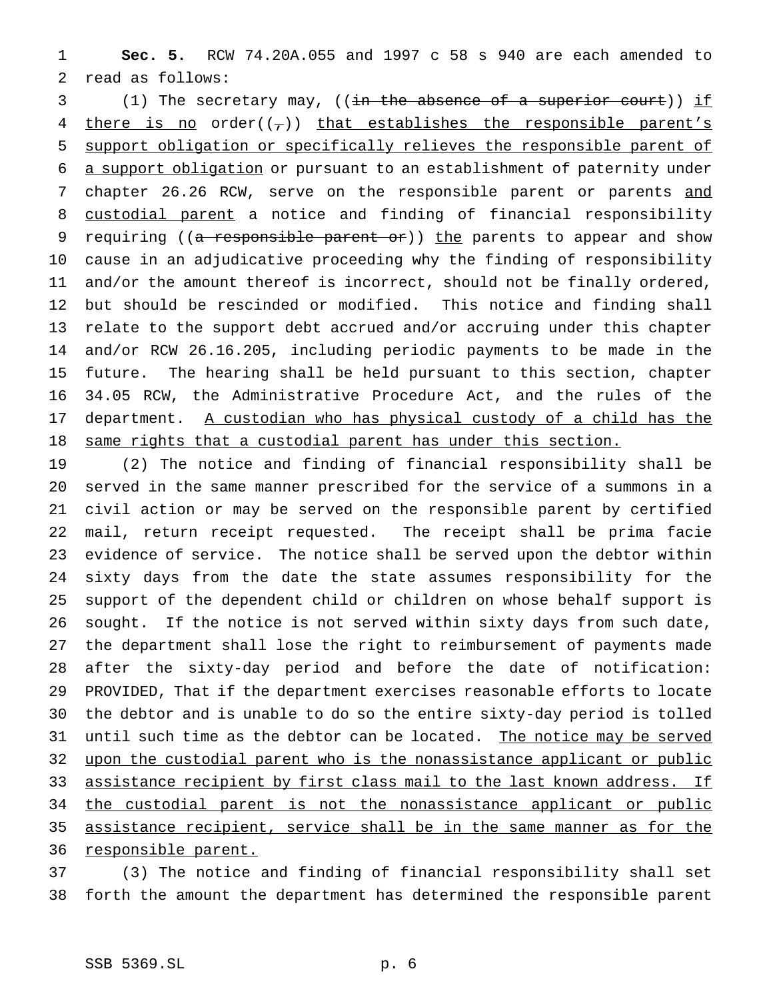**Sec. 5.** RCW 74.20A.055 and 1997 c 58 s 940 are each amended to read as follows:

3 (1) The secretary may, ((<del>in the absence of a superior court</del>)) if 4 there is no order( $(\tau)$ ) that establishes the responsible parent's support obligation or specifically relieves the responsible parent of a support obligation or pursuant to an establishment of paternity under 7 chapter 26.26 RCW, serve on the responsible parent or parents and custodial parent a notice and finding of financial responsibility 9 requiring ((a responsible parent or)) the parents to appear and show cause in an adjudicative proceeding why the finding of responsibility and/or the amount thereof is incorrect, should not be finally ordered, but should be rescinded or modified. This notice and finding shall relate to the support debt accrued and/or accruing under this chapter and/or RCW 26.16.205, including periodic payments to be made in the future. The hearing shall be held pursuant to this section, chapter 34.05 RCW, the Administrative Procedure Act, and the rules of the department. A custodian who has physical custody of a child has the 18 same rights that a custodial parent has under this section.

 (2) The notice and finding of financial responsibility shall be served in the same manner prescribed for the service of a summons in a civil action or may be served on the responsible parent by certified mail, return receipt requested. The receipt shall be prima facie evidence of service. The notice shall be served upon the debtor within sixty days from the date the state assumes responsibility for the support of the dependent child or children on whose behalf support is sought. If the notice is not served within sixty days from such date, the department shall lose the right to reimbursement of payments made after the sixty-day period and before the date of notification: PROVIDED, That if the department exercises reasonable efforts to locate the debtor and is unable to do so the entire sixty-day period is tolled 31 until such time as the debtor can be located. The notice may be served upon the custodial parent who is the nonassistance applicant or public 33 assistance recipient by first class mail to the last known address. If 34 the custodial parent is not the nonassistance applicant or public assistance recipient, service shall be in the same manner as for the 36 responsible parent.

 (3) The notice and finding of financial responsibility shall set forth the amount the department has determined the responsible parent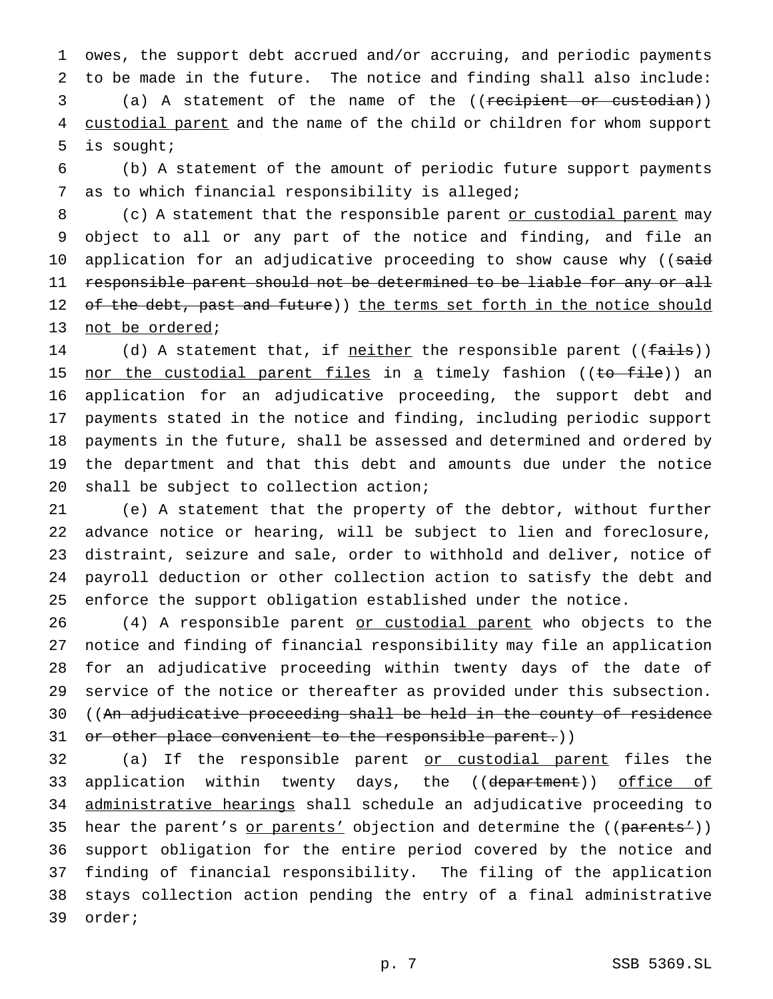owes, the support debt accrued and/or accruing, and periodic payments to be made in the future. The notice and finding shall also include: (a) A statement of the name of the ((recipient or custodian)) 4 custodial parent and the name of the child or children for whom support is sought;

 (b) A statement of the amount of periodic future support payments as to which financial responsibility is alleged;

8 (c) A statement that the responsible parent or custodial parent may object to all or any part of the notice and finding, and file an 10 application for an adjudicative proceeding to show cause why ((said 11 responsible parent should not be determined to be liable for any or all 12 of the debt, past and future)) the terms set forth in the notice should not be ordered;

14 (d) A statement that, if neither the responsible parent ((fails)) 15 nor the custodial parent files in a timely fashion ((to file)) an application for an adjudicative proceeding, the support debt and payments stated in the notice and finding, including periodic support payments in the future, shall be assessed and determined and ordered by the department and that this debt and amounts due under the notice shall be subject to collection action;

 (e) A statement that the property of the debtor, without further advance notice or hearing, will be subject to lien and foreclosure, distraint, seizure and sale, order to withhold and deliver, notice of payroll deduction or other collection action to satisfy the debt and enforce the support obligation established under the notice.

26 (4) A responsible parent or custodial parent who objects to the notice and finding of financial responsibility may file an application for an adjudicative proceeding within twenty days of the date of service of the notice or thereafter as provided under this subsection. ((An adjudicative proceeding shall be held in the county of residence 31 or other place convenient to the responsible parent.))

 (a) If the responsible parent or custodial parent files the 33 application within twenty days, the ((d<del>epartment</del>)) <u>office of</u> administrative hearings shall schedule an adjudicative proceeding to 35 hear the parent's or parents' objection and determine the ((parents')) support obligation for the entire period covered by the notice and finding of financial responsibility. The filing of the application stays collection action pending the entry of a final administrative order;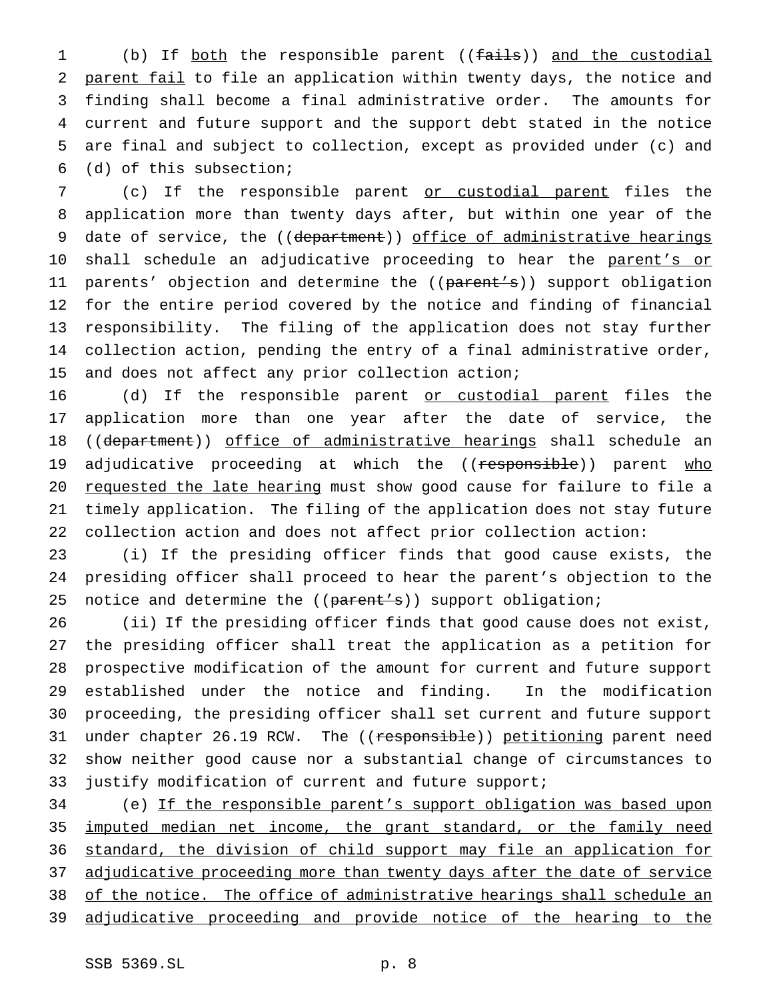1 (b) If both the responsible parent ((fails)) and the custodial parent fail to file an application within twenty days, the notice and finding shall become a final administrative order. The amounts for current and future support and the support debt stated in the notice are final and subject to collection, except as provided under (c) and (d) of this subsection;

 (c) If the responsible parent or custodial parent files the application more than twenty days after, but within one year of the 9 date of service, the ((department)) office of administrative hearings 10 shall schedule an adjudicative proceeding to hear the parent's or 11 parents' objection and determine the ((parent's)) support obligation for the entire period covered by the notice and finding of financial responsibility. The filing of the application does not stay further collection action, pending the entry of a final administrative order, and does not affect any prior collection action;

16 (d) If the responsible parent or custodial parent files the application more than one year after the date of service, the 18 ((department)) office of administrative hearings shall schedule an 19 adjudicative proceeding at which the ((responsible)) parent who requested the late hearing must show good cause for failure to file a timely application. The filing of the application does not stay future collection action and does not affect prior collection action:

 (i) If the presiding officer finds that good cause exists, the presiding officer shall proceed to hear the parent's objection to the 25 notice and determine the ((parent's)) support obligation;

 (ii) If the presiding officer finds that good cause does not exist, the presiding officer shall treat the application as a petition for prospective modification of the amount for current and future support established under the notice and finding. In the modification proceeding, the presiding officer shall set current and future support 31 under chapter 26.19 RCW. The ((responsible)) petitioning parent need show neither good cause nor a substantial change of circumstances to justify modification of current and future support;

 (e) If the responsible parent's support obligation was based upon imputed median net income, the grant standard, or the family need standard, the division of child support may file an application for 37 adjudicative proceeding more than twenty days after the date of service of the notice. The office of administrative hearings shall schedule an adjudicative proceeding and provide notice of the hearing to the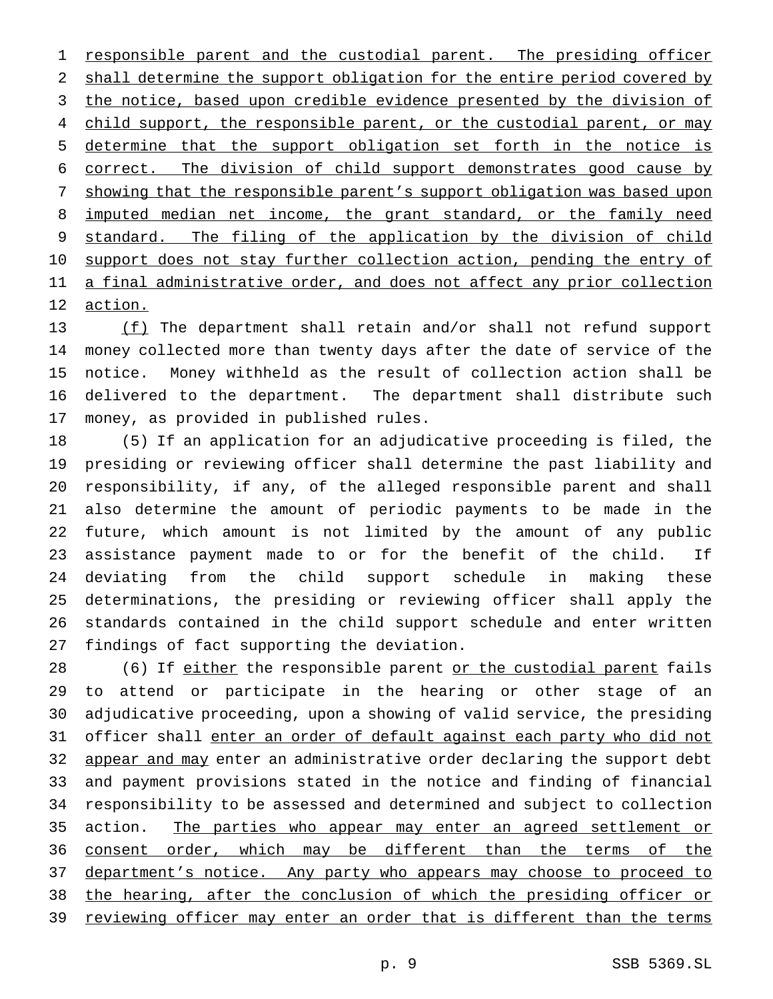1 responsible parent and the custodial parent. The presiding officer shall determine the support obligation for the entire period covered by 3 the notice, based upon credible evidence presented by the division of 4 child support, the responsible parent, or the custodial parent, or may determine that the support obligation set forth in the notice is correct. The division of child support demonstrates good cause by showing that the responsible parent's support obligation was based upon 8 imputed median net income, the grant standard, or the family need standard. The filing of the application by the division of child 10 support does not stay further collection action, pending the entry of 11 a final administrative order, and does not affect any prior collection action.

 (f) The department shall retain and/or shall not refund support money collected more than twenty days after the date of service of the notice. Money withheld as the result of collection action shall be delivered to the department. The department shall distribute such money, as provided in published rules.

 (5) If an application for an adjudicative proceeding is filed, the presiding or reviewing officer shall determine the past liability and responsibility, if any, of the alleged responsible parent and shall also determine the amount of periodic payments to be made in the future, which amount is not limited by the amount of any public assistance payment made to or for the benefit of the child. If deviating from the child support schedule in making these determinations, the presiding or reviewing officer shall apply the standards contained in the child support schedule and enter written findings of fact supporting the deviation.

28 (6) If either the responsible parent or the custodial parent fails to attend or participate in the hearing or other stage of an adjudicative proceeding, upon a showing of valid service, the presiding officer shall enter an order of default against each party who did not 32 appear and may enter an administrative order declaring the support debt and payment provisions stated in the notice and finding of financial responsibility to be assessed and determined and subject to collection action. The parties who appear may enter an agreed settlement or 36 consent order, which may be different than the terms of the 37 department's notice. Any party who appears may choose to proceed to the hearing, after the conclusion of which the presiding officer or reviewing officer may enter an order that is different than the terms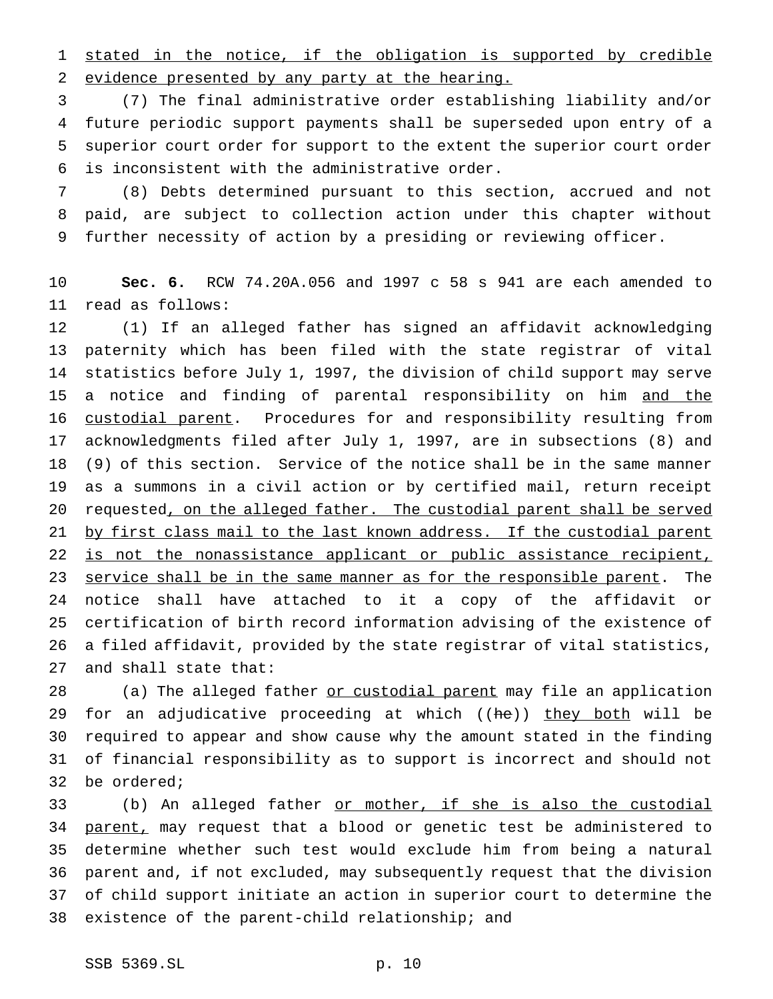stated in the notice, if the obligation is supported by credible evidence presented by any party at the hearing.

 (7) The final administrative order establishing liability and/or future periodic support payments shall be superseded upon entry of a superior court order for support to the extent the superior court order is inconsistent with the administrative order.

 (8) Debts determined pursuant to this section, accrued and not paid, are subject to collection action under this chapter without further necessity of action by a presiding or reviewing officer.

 **Sec. 6.** RCW 74.20A.056 and 1997 c 58 s 941 are each amended to read as follows:

 (1) If an alleged father has signed an affidavit acknowledging paternity which has been filed with the state registrar of vital statistics before July 1, 1997, the division of child support may serve 15 a notice and finding of parental responsibility on him and the 16 custodial parent. Procedures for and responsibility resulting from acknowledgments filed after July 1, 1997, are in subsections (8) and (9) of this section. Service of the notice shall be in the same manner as a summons in a civil action or by certified mail, return receipt 20 requested, on the alleged father. The custodial parent shall be served 21 by first class mail to the last known address. If the custodial parent 22 is not the nonassistance applicant or public assistance recipient, 23 service shall be in the same manner as for the responsible parent. The notice shall have attached to it a copy of the affidavit or certification of birth record information advising of the existence of a filed affidavit, provided by the state registrar of vital statistics, and shall state that:

28 (a) The alleged father or custodial parent may file an application 29 for an adjudicative proceeding at which ((he)) they both will be required to appear and show cause why the amount stated in the finding of financial responsibility as to support is incorrect and should not be ordered;

 (b) An alleged father or mother, if she is also the custodial 34 parent, may request that a blood or genetic test be administered to determine whether such test would exclude him from being a natural parent and, if not excluded, may subsequently request that the division of child support initiate an action in superior court to determine the existence of the parent-child relationship; and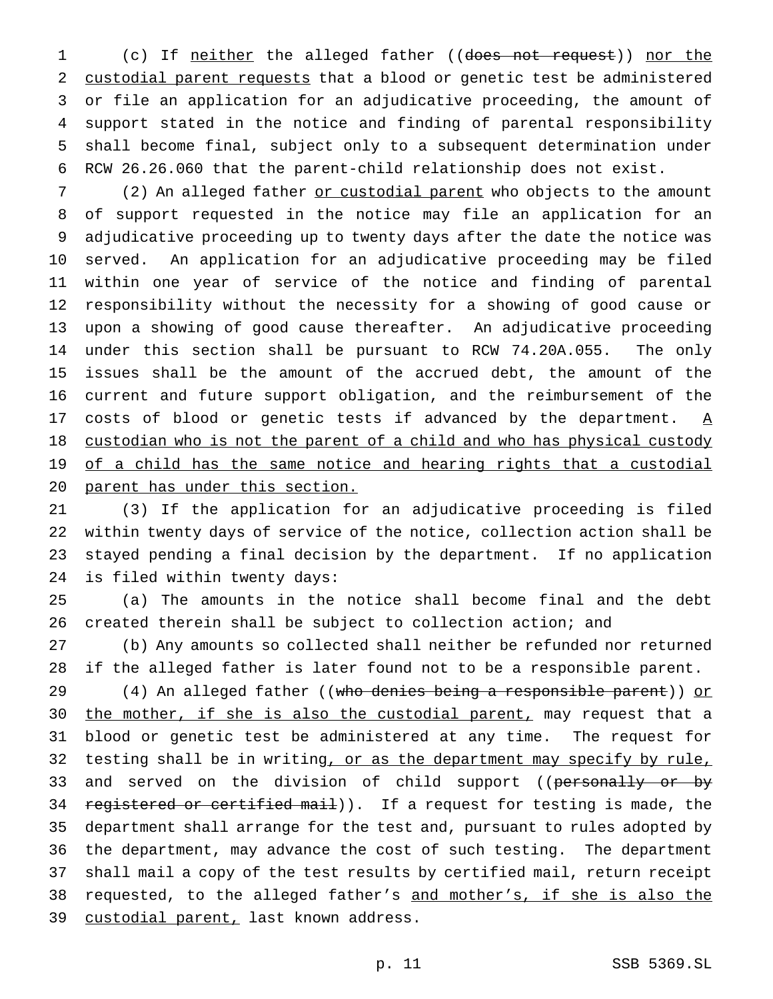1 (c) If neither the alleged father ((does not request)) nor the custodial parent requests that a blood or genetic test be administered or file an application for an adjudicative proceeding, the amount of support stated in the notice and finding of parental responsibility shall become final, subject only to a subsequent determination under RCW 26.26.060 that the parent-child relationship does not exist.

7 (2) An alleged father or custodial parent who objects to the amount of support requested in the notice may file an application for an adjudicative proceeding up to twenty days after the date the notice was served. An application for an adjudicative proceeding may be filed within one year of service of the notice and finding of parental responsibility without the necessity for a showing of good cause or upon a showing of good cause thereafter. An adjudicative proceeding under this section shall be pursuant to RCW 74.20A.055. The only issues shall be the amount of the accrued debt, the amount of the current and future support obligation, and the reimbursement of the 17 costs of blood or genetic tests if advanced by the department.  $\underline{A}$  custodian who is not the parent of a child and who has physical custody 19 of a child has the same notice and hearing rights that a custodial parent has under this section.

 (3) If the application for an adjudicative proceeding is filed within twenty days of service of the notice, collection action shall be stayed pending a final decision by the department. If no application is filed within twenty days:

 (a) The amounts in the notice shall become final and the debt created therein shall be subject to collection action; and

 (b) Any amounts so collected shall neither be refunded nor returned if the alleged father is later found not to be a responsible parent.

29 (4) An alleged father ((who denies being a responsible parent)) or 30 the mother, if she is also the custodial parent, may request that a blood or genetic test be administered at any time. The request for 32 testing shall be in writing, or as the department may specify by rule, 33 and served on the division of child support ((personally or by 34 registered or certified mail)). If a request for testing is made, the department shall arrange for the test and, pursuant to rules adopted by the department, may advance the cost of such testing. The department shall mail a copy of the test results by certified mail, return receipt 38 requested, to the alleged father's and mother's, if she is also the 39 custodial parent, last known address.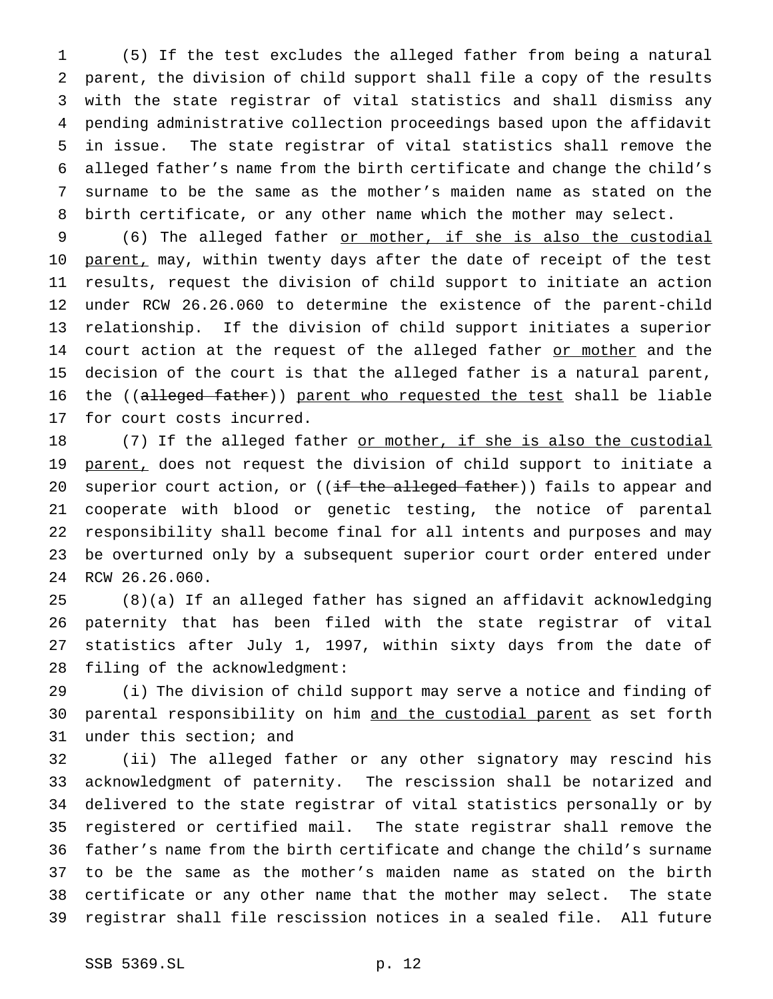(5) If the test excludes the alleged father from being a natural parent, the division of child support shall file a copy of the results with the state registrar of vital statistics and shall dismiss any pending administrative collection proceedings based upon the affidavit in issue. The state registrar of vital statistics shall remove the alleged father's name from the birth certificate and change the child's surname to be the same as the mother's maiden name as stated on the birth certificate, or any other name which the mother may select.

 (6) The alleged father or mother, if she is also the custodial 10 parent, may, within twenty days after the date of receipt of the test results, request the division of child support to initiate an action under RCW 26.26.060 to determine the existence of the parent-child relationship. If the division of child support initiates a superior 14 court action at the request of the alleged father or mother and the decision of the court is that the alleged father is a natural parent, 16 the ((alleged father)) parent who requested the test shall be liable for court costs incurred.

18 (7) If the alleged father or mother, if she is also the custodial 19 parent, does not request the division of child support to initiate a 20 superior court action, or ((if the alleged father)) fails to appear and cooperate with blood or genetic testing, the notice of parental responsibility shall become final for all intents and purposes and may be overturned only by a subsequent superior court order entered under RCW 26.26.060.

 (8)(a) If an alleged father has signed an affidavit acknowledging paternity that has been filed with the state registrar of vital statistics after July 1, 1997, within sixty days from the date of filing of the acknowledgment:

 (i) The division of child support may serve a notice and finding of 30 parental responsibility on him and the custodial parent as set forth under this section; and

 (ii) The alleged father or any other signatory may rescind his acknowledgment of paternity. The rescission shall be notarized and delivered to the state registrar of vital statistics personally or by registered or certified mail. The state registrar shall remove the father's name from the birth certificate and change the child's surname to be the same as the mother's maiden name as stated on the birth certificate or any other name that the mother may select. The state registrar shall file rescission notices in a sealed file. All future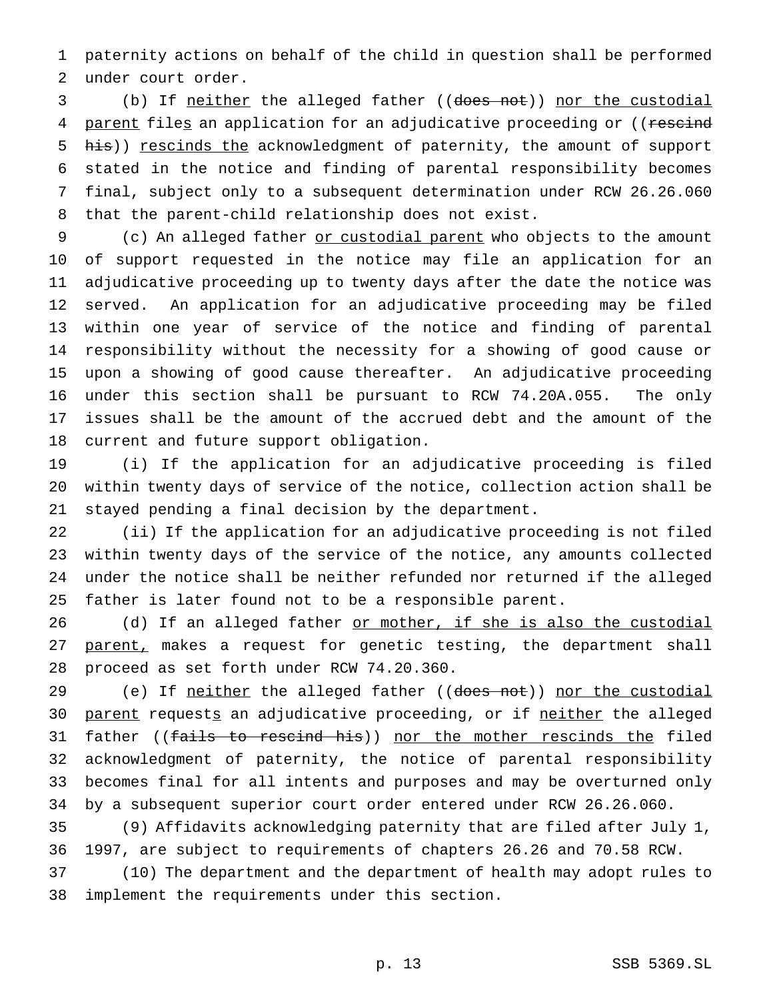paternity actions on behalf of the child in question shall be performed under court order.

 (b) If neither the alleged father ((does not)) nor the custodial 4 parent files an application for an adjudicative proceeding or ((rescind 5 his)) rescinds the acknowledgment of paternity, the amount of support stated in the notice and finding of parental responsibility becomes final, subject only to a subsequent determination under RCW 26.26.060 that the parent-child relationship does not exist.

9 (c) An alleged father or custodial parent who objects to the amount of support requested in the notice may file an application for an adjudicative proceeding up to twenty days after the date the notice was served. An application for an adjudicative proceeding may be filed within one year of service of the notice and finding of parental responsibility without the necessity for a showing of good cause or upon a showing of good cause thereafter. An adjudicative proceeding under this section shall be pursuant to RCW 74.20A.055. The only issues shall be the amount of the accrued debt and the amount of the current and future support obligation.

 (i) If the application for an adjudicative proceeding is filed within twenty days of service of the notice, collection action shall be stayed pending a final decision by the department.

 (ii) If the application for an adjudicative proceeding is not filed within twenty days of the service of the notice, any amounts collected under the notice shall be neither refunded nor returned if the alleged father is later found not to be a responsible parent.

26 (d) If an alleged father or mother, if she is also the custodial 27 parent, makes a request for genetic testing, the department shall proceed as set forth under RCW 74.20.360.

29 (e) If neither the alleged father ((does not)) nor the custodial 30 parent requests an adjudicative proceeding, or if neither the alleged 31 father ((fails to rescind his)) nor the mother rescinds the filed acknowledgment of paternity, the notice of parental responsibility becomes final for all intents and purposes and may be overturned only by a subsequent superior court order entered under RCW 26.26.060.

 (9) Affidavits acknowledging paternity that are filed after July 1, 1997, are subject to requirements of chapters 26.26 and 70.58 RCW.

 (10) The department and the department of health may adopt rules to implement the requirements under this section.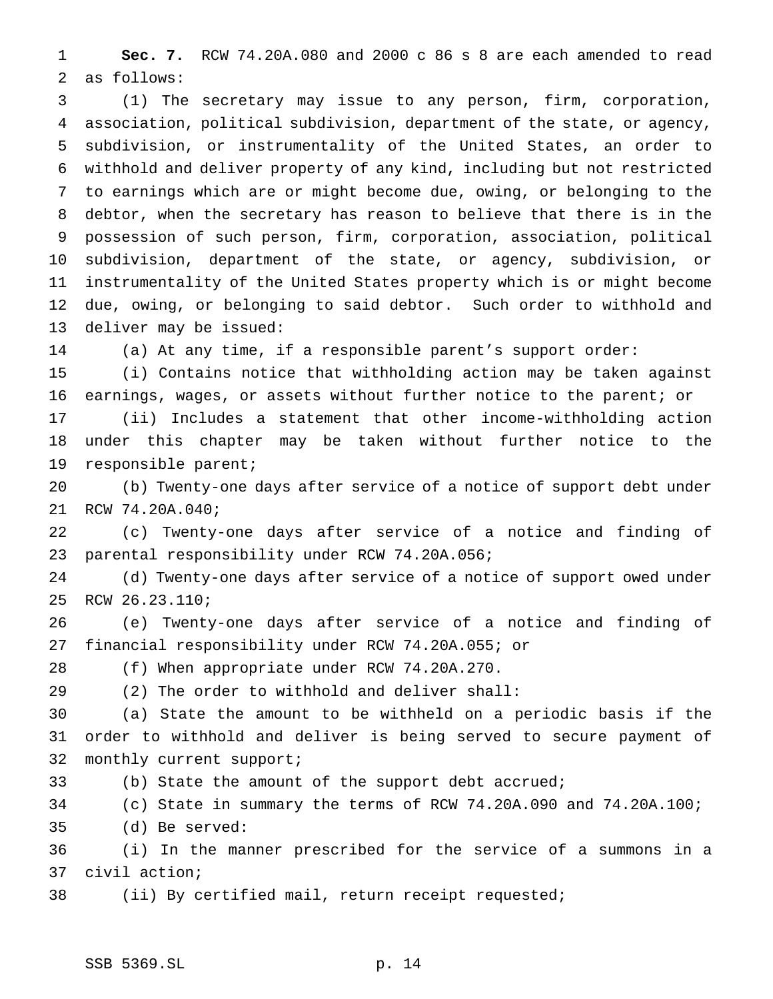**Sec. 7.** RCW 74.20A.080 and 2000 c 86 s 8 are each amended to read as follows:

 (1) The secretary may issue to any person, firm, corporation, association, political subdivision, department of the state, or agency, subdivision, or instrumentality of the United States, an order to withhold and deliver property of any kind, including but not restricted to earnings which are or might become due, owing, or belonging to the debtor, when the secretary has reason to believe that there is in the possession of such person, firm, corporation, association, political subdivision, department of the state, or agency, subdivision, or instrumentality of the United States property which is or might become due, owing, or belonging to said debtor. Such order to withhold and deliver may be issued:

(a) At any time, if a responsible parent's support order:

 (i) Contains notice that withholding action may be taken against earnings, wages, or assets without further notice to the parent; or

 (ii) Includes a statement that other income-withholding action under this chapter may be taken without further notice to the responsible parent;

 (b) Twenty-one days after service of a notice of support debt under RCW 74.20A.040;

 (c) Twenty-one days after service of a notice and finding of parental responsibility under RCW 74.20A.056;

 (d) Twenty-one days after service of a notice of support owed under RCW 26.23.110;

 (e) Twenty-one days after service of a notice and finding of financial responsibility under RCW 74.20A.055; or

(f) When appropriate under RCW 74.20A.270.

(2) The order to withhold and deliver shall:

 (a) State the amount to be withheld on a periodic basis if the order to withhold and deliver is being served to secure payment of monthly current support;

(b) State the amount of the support debt accrued;

(c) State in summary the terms of RCW 74.20A.090 and 74.20A.100;

(d) Be served:

 (i) In the manner prescribed for the service of a summons in a civil action;

(ii) By certified mail, return receipt requested;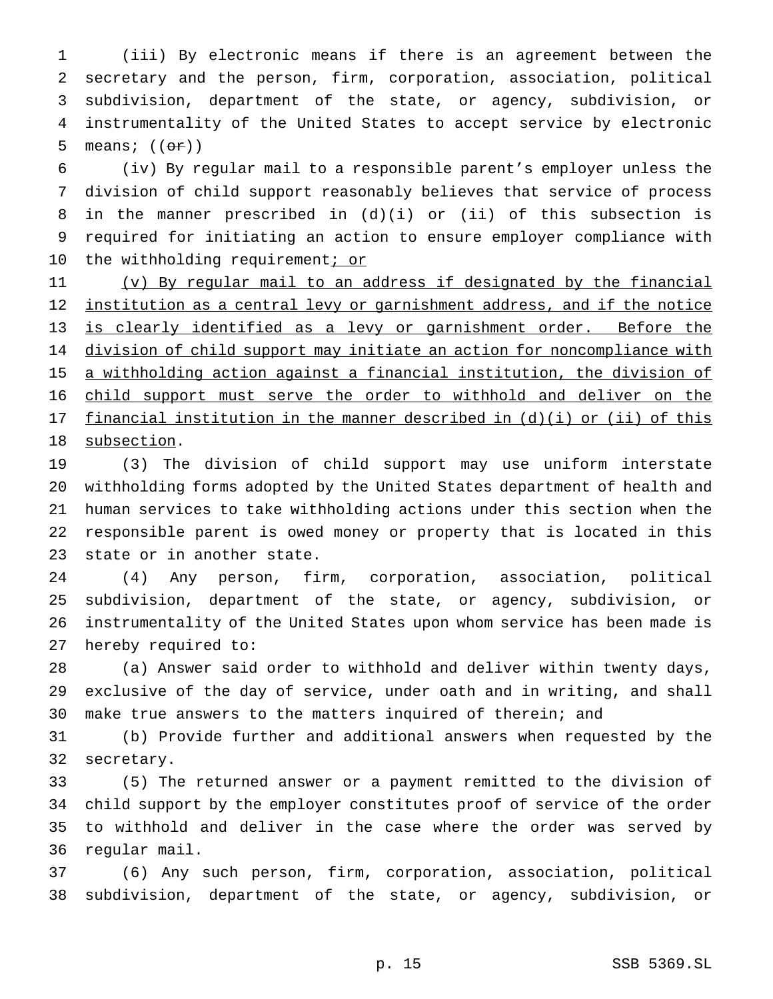(iii) By electronic means if there is an agreement between the secretary and the person, firm, corporation, association, political subdivision, department of the state, or agency, subdivision, or instrumentality of the United States to accept service by electronic 5 means;  $((\theta \cdot \hat{r}))$ 

 (iv) By regular mail to a responsible parent's employer unless the division of child support reasonably believes that service of process in the manner prescribed in (d)(i) or (ii) of this subsection is required for initiating an action to ensure employer compliance with 10 the withholding requirement; or

 (v) By regular mail to an address if designated by the financial 12 institution as a central levy or garnishment address, and if the notice is clearly identified as a levy or garnishment order. Before the 14 division of child support may initiate an action for noncompliance with a withholding action against a financial institution, the division of child support must serve the order to withhold and deliver on the financial institution in the manner described in (d)(i) or (ii) of this subsection.

 (3) The division of child support may use uniform interstate withholding forms adopted by the United States department of health and human services to take withholding actions under this section when the responsible parent is owed money or property that is located in this state or in another state.

 (4) Any person, firm, corporation, association, political subdivision, department of the state, or agency, subdivision, or instrumentality of the United States upon whom service has been made is hereby required to:

 (a) Answer said order to withhold and deliver within twenty days, exclusive of the day of service, under oath and in writing, and shall make true answers to the matters inquired of therein; and

 (b) Provide further and additional answers when requested by the secretary.

 (5) The returned answer or a payment remitted to the division of child support by the employer constitutes proof of service of the order to withhold and deliver in the case where the order was served by regular mail.

 (6) Any such person, firm, corporation, association, political subdivision, department of the state, or agency, subdivision, or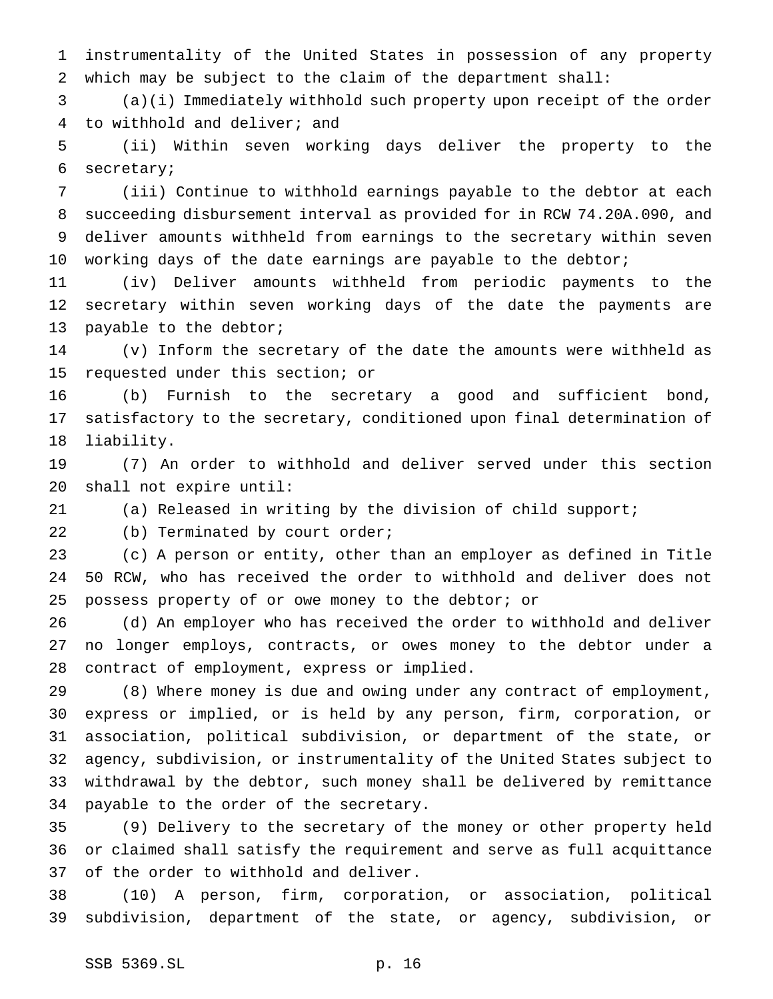instrumentality of the United States in possession of any property which may be subject to the claim of the department shall:

 (a)(i) Immediately withhold such property upon receipt of the order to withhold and deliver; and

 (ii) Within seven working days deliver the property to the secretary;

 (iii) Continue to withhold earnings payable to the debtor at each succeeding disbursement interval as provided for in RCW 74.20A.090, and deliver amounts withheld from earnings to the secretary within seven working days of the date earnings are payable to the debtor;

 (iv) Deliver amounts withheld from periodic payments to the secretary within seven working days of the date the payments are 13 payable to the debtor;

 (v) Inform the secretary of the date the amounts were withheld as requested under this section; or

 (b) Furnish to the secretary a good and sufficient bond, satisfactory to the secretary, conditioned upon final determination of liability.

 (7) An order to withhold and deliver served under this section shall not expire until:

(a) Released in writing by the division of child support;

(b) Terminated by court order;

 (c) A person or entity, other than an employer as defined in Title 50 RCW, who has received the order to withhold and deliver does not possess property of or owe money to the debtor; or

 (d) An employer who has received the order to withhold and deliver no longer employs, contracts, or owes money to the debtor under a contract of employment, express or implied.

 (8) Where money is due and owing under any contract of employment, express or implied, or is held by any person, firm, corporation, or association, political subdivision, or department of the state, or agency, subdivision, or instrumentality of the United States subject to withdrawal by the debtor, such money shall be delivered by remittance payable to the order of the secretary.

 (9) Delivery to the secretary of the money or other property held or claimed shall satisfy the requirement and serve as full acquittance of the order to withhold and deliver.

 (10) A person, firm, corporation, or association, political subdivision, department of the state, or agency, subdivision, or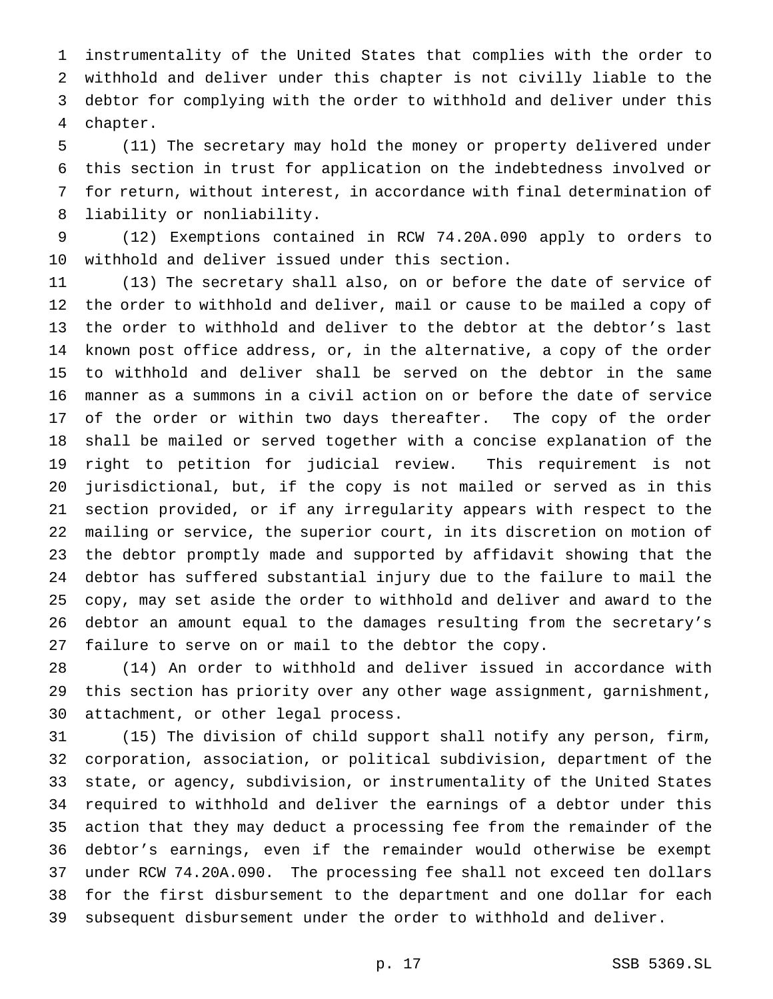instrumentality of the United States that complies with the order to withhold and deliver under this chapter is not civilly liable to the debtor for complying with the order to withhold and deliver under this chapter.

 (11) The secretary may hold the money or property delivered under this section in trust for application on the indebtedness involved or for return, without interest, in accordance with final determination of liability or nonliability.

 (12) Exemptions contained in RCW 74.20A.090 apply to orders to withhold and deliver issued under this section.

 (13) The secretary shall also, on or before the date of service of the order to withhold and deliver, mail or cause to be mailed a copy of the order to withhold and deliver to the debtor at the debtor's last known post office address, or, in the alternative, a copy of the order to withhold and deliver shall be served on the debtor in the same manner as a summons in a civil action on or before the date of service of the order or within two days thereafter. The copy of the order shall be mailed or served together with a concise explanation of the right to petition for judicial review. This requirement is not jurisdictional, but, if the copy is not mailed or served as in this section provided, or if any irregularity appears with respect to the mailing or service, the superior court, in its discretion on motion of the debtor promptly made and supported by affidavit showing that the debtor has suffered substantial injury due to the failure to mail the copy, may set aside the order to withhold and deliver and award to the debtor an amount equal to the damages resulting from the secretary's failure to serve on or mail to the debtor the copy.

 (14) An order to withhold and deliver issued in accordance with this section has priority over any other wage assignment, garnishment, attachment, or other legal process.

 (15) The division of child support shall notify any person, firm, corporation, association, or political subdivision, department of the state, or agency, subdivision, or instrumentality of the United States required to withhold and deliver the earnings of a debtor under this action that they may deduct a processing fee from the remainder of the debtor's earnings, even if the remainder would otherwise be exempt under RCW 74.20A.090. The processing fee shall not exceed ten dollars for the first disbursement to the department and one dollar for each subsequent disbursement under the order to withhold and deliver.